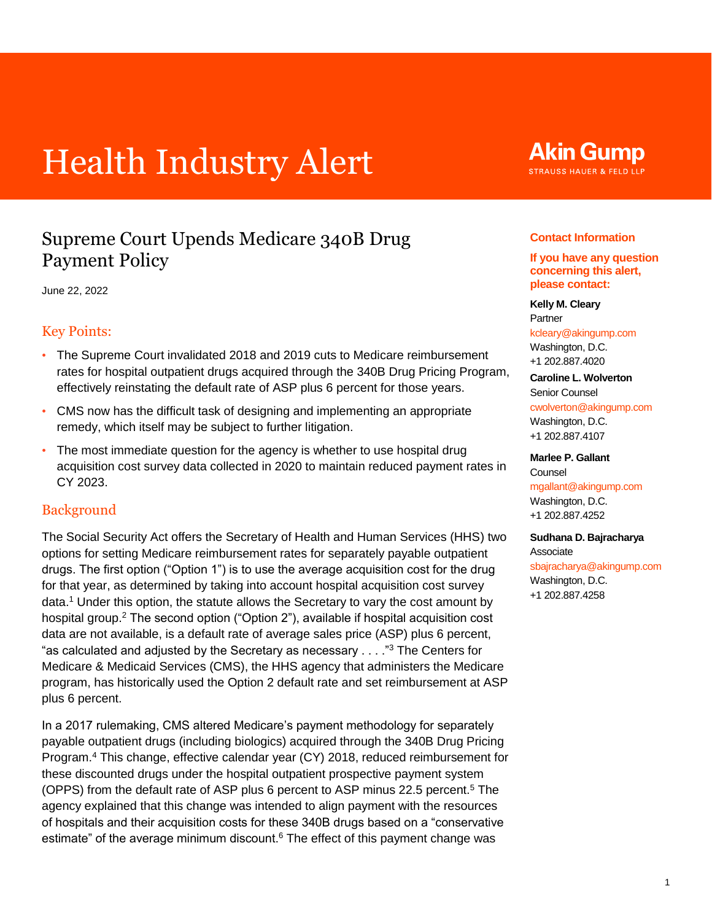# Health Industry Alert

### Supreme Court Upends Medicare 340B Drug Payment Policy

June 22, 2022

#### Key Points:

- The Supreme Court invalidated 2018 and 2019 cuts to Medicare reimbursement rates for hospital outpatient drugs acquired through the 340B Drug Pricing Program, effectively reinstating the default rate of ASP plus 6 percent for those years.
- CMS now has the difficult task of designing and implementing an appropriate remedy, which itself may be subject to further litigation.
- The most immediate question for the agency is whether to use hospital drug acquisition cost survey data collected in 2020 to maintain reduced payment rates in CY 2023.

#### **Background**

<span id="page-0-1"></span><span id="page-0-0"></span>The Social Security Act offers the Secretary of Health and Human Services (HHS) two options for setting Medicare reimbursement rates for separately payable outpatient drugs. The first option ("Option 1") is to use the average acquisition cost for the drug for that year, as determined by taking into account hospital acquisition cost survey data.[1](#page-3-0) Under this option, the statute allows the Secretary to vary the cost amount by hospital group.<sup>[2](#page-3-1)</sup> The second option ("Option 2"), available if hospital acquisition cost data are not available, is a default rate of average sales price (ASP) plus 6 percent, "as calculated and adjusted by the Secretary as necessary  $\dots$ ."<sup>[3](#page-3-2)</sup> The Centers for Medicare & Medicaid Services (CMS), the HHS agency that administers the Medicare program, has historically used the Option 2 default rate and set reimbursement at ASP plus 6 percent.

<span id="page-0-5"></span><span id="page-0-3"></span>In a 2017 rulemaking, CMS altered Medicare's payment methodology for separately payable outpatient drugs (including biologics) acquired through the 340B Drug Pricing Program.[4](#page-4-0) This change, effective calendar year (CY) 2018, reduced reimbursement for these discounted drugs under the hospital outpatient prospective payment system (OPPS) from the default rate of ASP plus 6 percent to ASP minus 22.[5](#page-4-1) percent.<sup>5</sup> The agency explained that this change was intended to align payment with the resources of hospitals and their acquisition costs for these 340B drugs based on a "conservative estimate" of the average minimum discount[.](#page-4-2) $6$  The effect of this payment change was

## **Akin Gump**

**STRAUSS HAUER & FELD LLP** 

#### **Contact Information**

#### **If you have any question concerning this alert, please contact:**

#### **Kelly M. Cleary** Partner [kcleary@akingump.com](mailto:kcleary@akingump.com) Washington, D.C.

+1 202.887.4020

#### **Caroline L. Wolverton** Senior Counsel [cwolverton@akingump.com](mailto:cwolverton@akingump.com) Washington, D.C. +1 202.887.4107

#### **Marlee P. Gallant**

Counsel [mgallant@akingump.com](mailto:mgallant@akingump.com) Washington, D.C. +1 202.887.4252

#### **Sudhana D. Bajracharya** Associate [sbajracharya@akingump.com](mailto:sbajracharya@akingump.com) Washington, D.C.

<span id="page-0-4"></span><span id="page-0-2"></span>+1 202.887.4258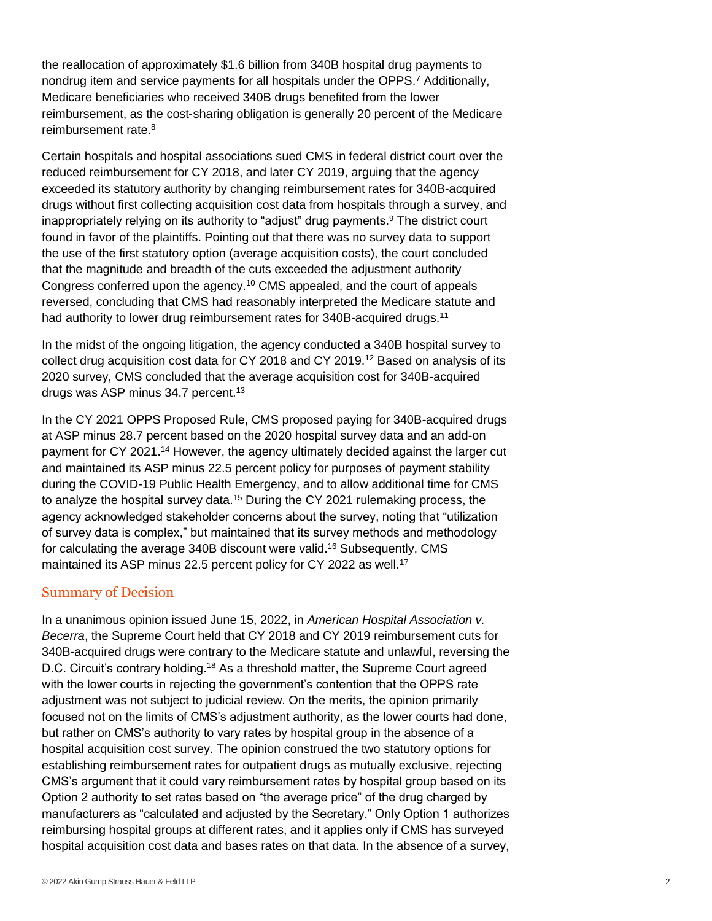<span id="page-1-0"></span>the reallocation of approximately \$1.6 billion from 340B hospital drug payments to nondrug item and service payments for all hospitals under the OPPS[.](#page-4-3)<sup>7</sup> Additionally, Medicare beneficiaries who received 340B drugs benefited from the lower reimbursement, as the cost‑sharing obligation is generally 20 percent of the Medicare reimbursement rate.<sup>[8](#page-4-4)</sup>

<span id="page-1-2"></span><span id="page-1-1"></span>Certain hospitals and hospital associations sued CMS in federal district court over the reduced reimbursement for CY 2018, and later CY 2019, arguing that the agency exceeded its statutory authority by changing reimbursement rates for 340B-acquired drugs without first collecting acquisition cost data from hospitals through a survey, and inappropriately relying on its authority to "adjust" drug payments.<sup>[9](#page-4-5)</sup> The district court found in favor of the plaintiffs. Pointing out that there was no survey data to support the use of the first statutory option (average acquisition costs), the court concluded that the magnitude and breadth of the cuts exceeded the adjustment authority Congress conferred upon the agency.[10](#page-4-6) CMS appealed, and the court of appeals reversed, concluding that CMS had reasonably interpreted the Medicare statute and had authority to lower drug reimbursement rates for 340B-acquired drugs.<sup>[11](#page-4-7)</sup>

<span id="page-1-5"></span><span id="page-1-4"></span><span id="page-1-3"></span>In the midst of the ongoing litigation, the agency conducted a 340B hospital survey to collect drug acquisition cost data for CY 2018 and CY 2019.[12](#page-4-8) Based on analysis of its 2020 survey, CMS concluded that the average acquisition cost for 340B-acquired drugs was ASP minus 34.7 percent.<sup>[13](#page-4-9)</sup>

<span id="page-1-8"></span><span id="page-1-7"></span><span id="page-1-6"></span>In the CY 2021 OPPS Proposed Rule, CMS proposed paying for 340B-acquired drugs at ASP minus 28.7 percent based on the 2020 hospital survey data and an add-on payment for CY 2021.[14](#page-4-10) However, the agency ultimately decided against the larger cut and maintained its ASP minus 22.5 percent policy for purposes of payment stability during the COVID-19 Public Health Emergency, and to allow additional time for CMS to analyze the hospital survey data.<sup>[15](#page-4-11)</sup> During the CY 2021 rulemaking process, the agency acknowledged stakeholder concerns about the survey, noting that "utilization of survey data is complex," but maintained that its survey methods and methodology for calculating the average 340B discount were valid.[16](#page-4-12) Subsequently, CMS maintained its ASP minus 22.5 percent policy for CY 2022 as well.<sup>[17](#page-4-13)</sup>

#### <span id="page-1-10"></span><span id="page-1-9"></span>Summary of Decision

<span id="page-1-11"></span>In a unanimous opinion issued June 15, 2022, in *American Hospital Association v. Becerra*, the Supreme Court held that CY 2018 and CY 2019 reimbursement cuts for 340B-acquired drugs were contrary to the Medicare statute and unlawful, reversing the D.C. Circuit's contrary holding.[18](#page-4-14) As a threshold matter, the Supreme Court agreed with the lower courts in rejecting the government's contention that the OPPS rate adjustment was not subject to judicial review. On the merits, the opinion primarily focused not on the limits of CMS's adjustment authority, as the lower courts had done, but rather on CMS's authority to vary rates by hospital group in the absence of a hospital acquisition cost survey. The opinion construed the two statutory options for establishing reimbursement rates for outpatient drugs as mutually exclusive, rejecting CMS's argument that it could vary reimbursement rates by hospital group based on its Option 2 authority to set rates based on "the average price" of the drug charged by manufacturers as "calculated and adjusted by the Secretary." Only Option 1 authorizes reimbursing hospital groups at different rates, and it applies only if CMS has surveyed hospital acquisition cost data and bases rates on that data. In the absence of a survey,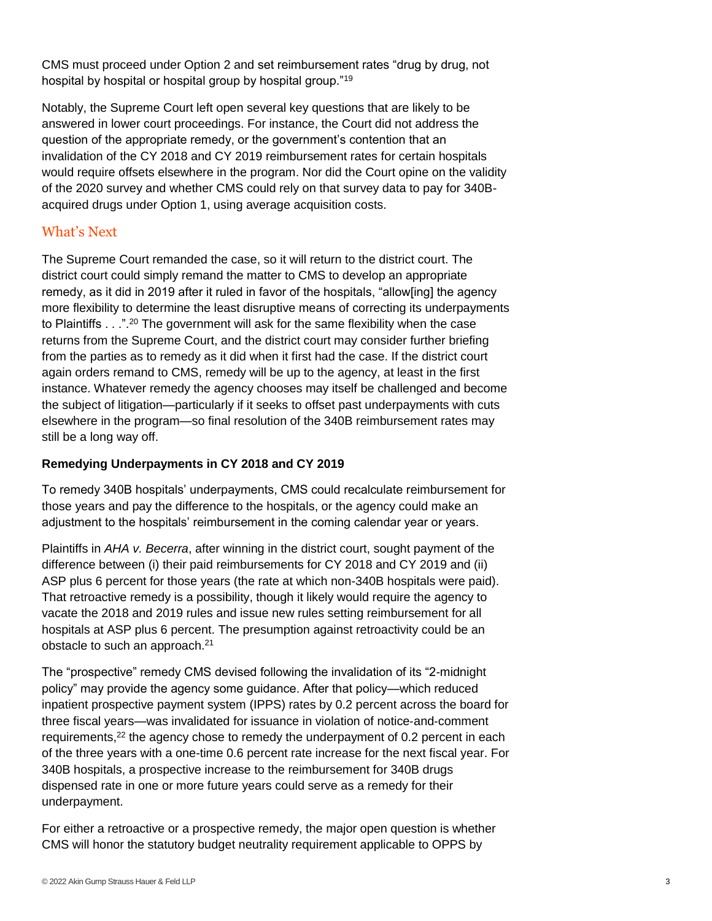<span id="page-2-0"></span>CMS must proceed under Option 2 and set reimbursement rates "drug by drug, not hospital by hospital or hospital group by hospital group."[19](#page-4-15)

Notably, the Supreme Court left open several key questions that are likely to be answered in lower court proceedings. For instance, the Court did not address the question of the appropriate remedy, or the government's contention that an invalidation of the CY 2018 and CY 2019 reimbursement rates for certain hospitals would require offsets elsewhere in the program. Nor did the Court opine on the validity of the 2020 survey and whether CMS could rely on that survey data to pay for 340Bacquired drugs under Option 1, using average acquisition costs.

#### What's Next

<span id="page-2-1"></span>The Supreme Court remanded the case, so it will return to the district court. The district court could simply remand the matter to CMS to develop an appropriate remedy, as it did in 2019 after it ruled in favor of the hospitals, "allow[ing] the agency more flexibility to determine the least disruptive means of correcting its underpayments to Plaintiffs . . .".[20](#page-4-16) The government will ask for the same flexibility when the case returns from the Supreme Court, and the district court may consider further briefing from the parties as to remedy as it did when it first had the case. If the district court again orders remand to CMS, remedy will be up to the agency, at least in the first instance. Whatever remedy the agency chooses may itself be challenged and become the subject of litigation—particularly if it seeks to offset past underpayments with cuts elsewhere in the program—so final resolution of the 340B reimbursement rates may still be a long way off.

#### **Remedying Underpayments in CY 2018 and CY 2019**

To remedy 340B hospitals' underpayments, CMS could recalculate reimbursement for those years and pay the difference to the hospitals, or the agency could make an adjustment to the hospitals' reimbursement in the coming calendar year or years.

Plaintiffs in *AHA v. Becerra*, after winning in the district court, sought payment of the difference between (i) their paid reimbursements for CY 2018 and CY 2019 and (ii) ASP plus 6 percent for those years (the rate at which non-340B hospitals were paid). That retroactive remedy is a possibility, though it likely would require the agency to vacate the 2018 and 2019 rules and issue new rules setting reimbursement for all hospitals at ASP plus 6 percent. The presumption against retroactivity could be an obstacle to such an approach.<sup>[21](#page-4-17)</sup>

<span id="page-2-3"></span><span id="page-2-2"></span>The "prospective" remedy CMS devised following the invalidation of its "2-midnight policy" may provide the agency some guidance. After that policy—which reduced inpatient prospective payment system (IPPS) rates by 0.2 percent across the board for three fiscal years—was invalidated for issuance in violation of notice-and-comment requirements,<sup>[22](#page-4-18)</sup> the agency chose to remedy the underpayment of 0.2 percent in each of the three years with a one-time 0.6 percent rate increase for the next fiscal year. For 340B hospitals, a prospective increase to the reimbursement for 340B drugs dispensed rate in one or more future years could serve as a remedy for their underpayment.

For either a retroactive or a prospective remedy, the major open question is whether CMS will honor the statutory budget neutrality requirement applicable to OPPS by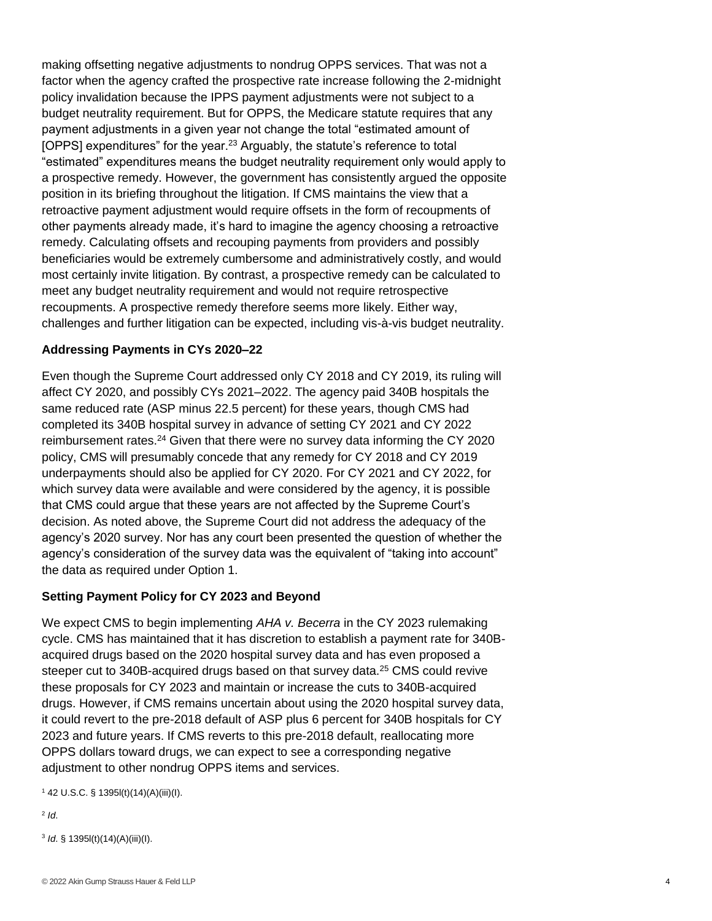<span id="page-3-3"></span>making offsetting negative adjustments to nondrug OPPS services. That was not a factor when the agency crafted the prospective rate increase following the 2-midnight policy invalidation because the IPPS payment adjustments were not subject to a budget neutrality requirement. But for OPPS, the Medicare statute requires that any payment adjustments in a given year not change the total "estimated amount of [OPPS] expenditures" for the year.<sup>[23](#page-4-19)</sup> Arguably, the statute's reference to total "estimated" expenditures means the budget neutrality requirement only would apply to a prospective remedy. However, the government has consistently argued the opposite position in its briefing throughout the litigation. If CMS maintains the view that a retroactive payment adjustment would require offsets in the form of recoupments of other payments already made, it's hard to imagine the agency choosing a retroactive remedy. Calculating offsets and recouping payments from providers and possibly beneficiaries would be extremely cumbersome and administratively costly, and would most certainly invite litigation. By contrast, a prospective remedy can be calculated to meet any budget neutrality requirement and would not require retrospective recoupments. A prospective remedy therefore seems more likely. Either way, challenges and further litigation can be expected, including vis-à-vis budget neutrality.

#### **Addressing Payments in CYs 2020–22**

<span id="page-3-4"></span>Even though the Supreme Court addressed only CY 2018 and CY 2019, its ruling will affect CY 2020, and possibly CYs 2021–2022. The agency paid 340B hospitals the same reduced rate (ASP minus 22.5 percent) for these years, though CMS had completed its 340B hospital survey in advance of setting CY 2021 and CY 2022 reimbursement rates.<sup>[24](#page-4-20)</sup> Given that there were no survey data informing the CY 2020 policy, CMS will presumably concede that any remedy for CY 2018 and CY 2019 underpayments should also be applied for CY 2020. For CY 2021 and CY 2022, for which survey data were available and were considered by the agency, it is possible that CMS could argue that these years are not affected by the Supreme Court's decision. As noted above, the Supreme Court did not address the adequacy of the agency's 2020 survey. Nor has any court been presented the question of whether the agency's consideration of the survey data was the equivalent of "taking into account" the data as required under Option 1.

#### **Setting Payment Policy for CY 2023 and Beyond**

<span id="page-3-5"></span>We expect CMS to begin implementing *AHA v. Becerra* in the CY 2023 rulemaking cycle. CMS has maintained that it has discretion to establish a payment rate for 340Bacquired drugs based on the 2020 hospital survey data and has even proposed a steeper cut to 340B-acquired drugs based on that survey data.<sup>[25](#page-4-21)</sup> CMS could revive these proposals for CY 2023 and maintain or increase the cuts to 340B-acquired drugs. However, if CMS remains uncertain about using the 2020 hospital survey data, it could revert to the pre-2018 default of ASP plus 6 percent for 340B hospitals for CY 2023 and future years. If CMS reverts to this pre-2018 default, reallocating more OPPS dollars toward drugs, we can expect to see a corresponding negative adjustment to other nondrug OPPS items and services.

<span id="page-3-0"></span> $142$  $142$  U.S.C. § 1395l(t)(14)(A)(iii)(I).

<span id="page-3-1"></span>[2](#page-0-1) *Id*.

<span id="page-3-2"></span>[3](#page-0-2) *Id*. § 1395l(t)(14)(A)(iii)(I).